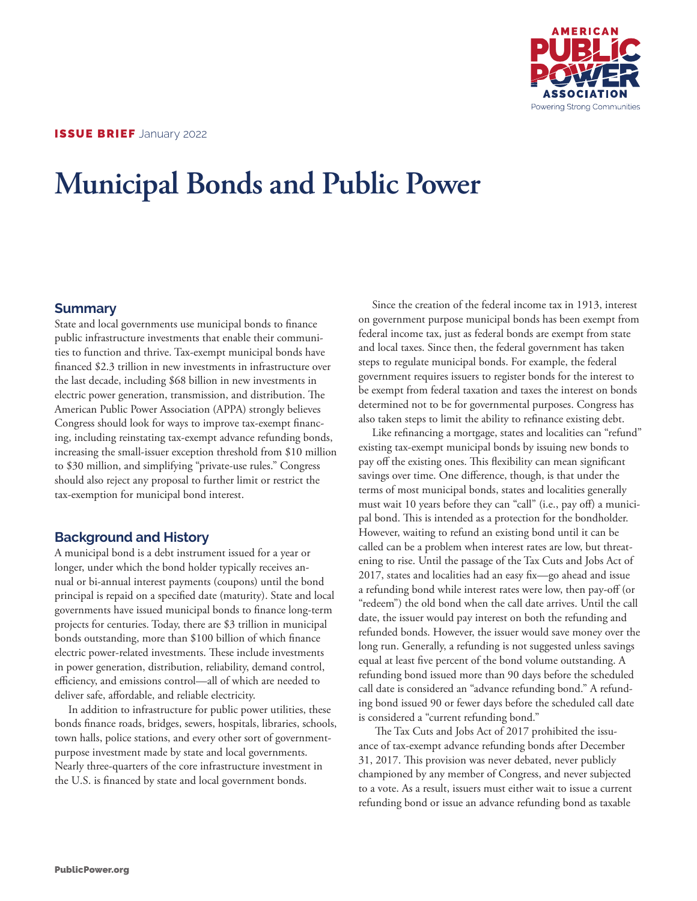

# **Municipal Bonds and Public Power**

## **Summary**

State and local governments use municipal bonds to finance public infrastructure investments that enable their communities to function and thrive. Tax-exempt municipal bonds have financed \$2.3 trillion in new investments in infrastructure over the last decade, including \$68 billion in new investments in electric power generation, transmission, and distribution. The American Public Power Association (APPA) strongly believes Congress should look for ways to improve tax-exempt financing, including reinstating tax-exempt advance refunding bonds, increasing the small-issuer exception threshold from \$10 million to \$30 million, and simplifying "private-use rules." Congress should also reject any proposal to further limit or restrict the tax-exemption for municipal bond interest.

## **Background and History**

A municipal bond is a debt instrument issued for a year or longer, under which the bond holder typically receives annual or bi-annual interest payments (coupons) until the bond principal is repaid on a specified date (maturity). State and local governments have issued municipal bonds to finance long-term projects for centuries. Today, there are \$3 trillion in municipal bonds outstanding, more than \$100 billion of which finance electric power-related investments. These include investments in power generation, distribution, reliability, demand control, efficiency, and emissions control—all of which are needed to deliver safe, affordable, and reliable electricity.

In addition to infrastructure for public power utilities, these bonds finance roads, bridges, sewers, hospitals, libraries, schools, town halls, police stations, and every other sort of governmentpurpose investment made by state and local governments. Nearly three-quarters of the core infrastructure investment in the U.S. is financed by state and local government bonds.

Since the creation of the federal income tax in 1913, interest on government purpose municipal bonds has been exempt from federal income tax, just as federal bonds are exempt from state and local taxes. Since then, the federal government has taken steps to regulate municipal bonds. For example, the federal government requires issuers to register bonds for the interest to be exempt from federal taxation and taxes the interest on bonds determined not to be for governmental purposes. Congress has also taken steps to limit the ability to refinance existing debt.

Like refinancing a mortgage, states and localities can "refund" existing tax-exempt municipal bonds by issuing new bonds to pay off the existing ones. This flexibility can mean significant savings over time. One difference, though, is that under the terms of most municipal bonds, states and localities generally must wait 10 years before they can "call" (i.e., pay off) a municipal bond. This is intended as a protection for the bondholder. However, waiting to refund an existing bond until it can be called can be a problem when interest rates are low, but threatening to rise. Until the passage of the Tax Cuts and Jobs Act of 2017, states and localities had an easy fix—go ahead and issue a refunding bond while interest rates were low, then pay-off (or "redeem") the old bond when the call date arrives. Until the call date, the issuer would pay interest on both the refunding and refunded bonds. However, the issuer would save money over the long run. Generally, a refunding is not suggested unless savings equal at least five percent of the bond volume outstanding. A refunding bond issued more than 90 days before the scheduled call date is considered an "advance refunding bond." A refunding bond issued 90 or fewer days before the scheduled call date is considered a "current refunding bond."

 The Tax Cuts and Jobs Act of 2017 prohibited the issuance of tax-exempt advance refunding bonds after December 31, 2017. This provision was never debated, never publicly championed by any member of Congress, and never subjected to a vote. As a result, issuers must either wait to issue a current refunding bond or issue an advance refunding bond as taxable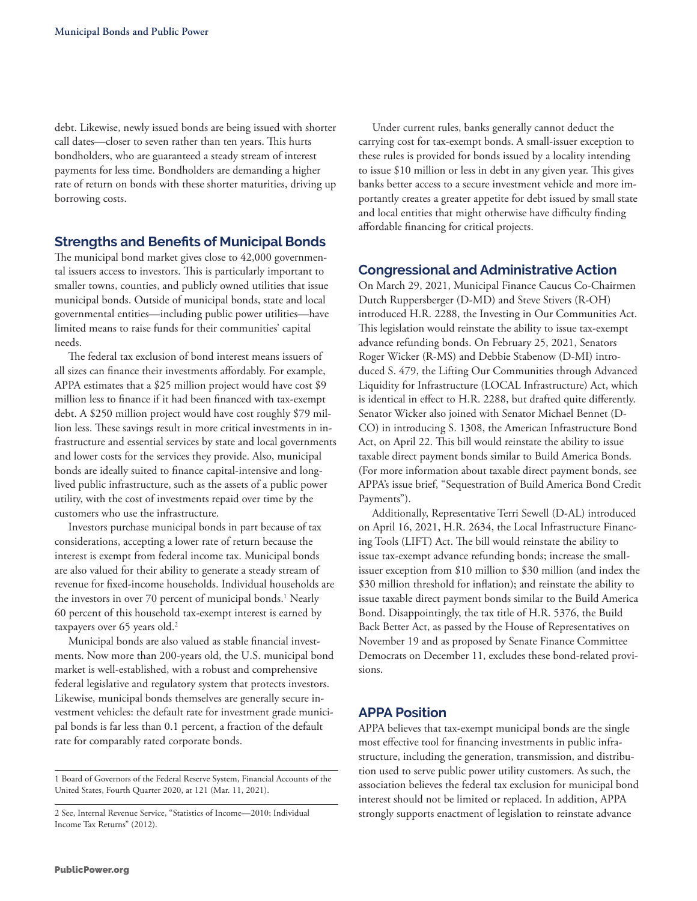debt. Likewise, newly issued bonds are being issued with shorter call dates—closer to seven rather than ten years. This hurts bondholders, who are guaranteed a steady stream of interest payments for less time. Bondholders are demanding a higher rate of return on bonds with these shorter maturities, driving up borrowing costs.

## **Strengths and Benefits of Municipal Bonds**

The municipal bond market gives close to 42,000 governmental issuers access to investors. This is particularly important to smaller towns, counties, and publicly owned utilities that issue municipal bonds. Outside of municipal bonds, state and local governmental entities—including public power utilities—have limited means to raise funds for their communities' capital needs.

The federal tax exclusion of bond interest means issuers of all sizes can finance their investments affordably. For example, APPA estimates that a \$25 million project would have cost \$9 million less to finance if it had been financed with tax-exempt debt. A \$250 million project would have cost roughly \$79 million less. These savings result in more critical investments in infrastructure and essential services by state and local governments and lower costs for the services they provide. Also, municipal bonds are ideally suited to finance capital-intensive and longlived public infrastructure, such as the assets of a public power utility, with the cost of investments repaid over time by the customers who use the infrastructure.

Investors purchase municipal bonds in part because of tax considerations, accepting a lower rate of return because the interest is exempt from federal income tax. Municipal bonds are also valued for their ability to generate a steady stream of revenue for fixed-income households. Individual households are the investors in over 70 percent of municipal bonds.<sup>1</sup> Nearly 60 percent of this household tax-exempt interest is earned by taxpayers over 65 years old.<sup>2</sup>

Municipal bonds are also valued as stable financial investments. Now more than 200-years old, the U.S. municipal bond market is well-established, with a robust and comprehensive federal legislative and regulatory system that protects investors. Likewise, municipal bonds themselves are generally secure investment vehicles: the default rate for investment grade municipal bonds is far less than 0.1 percent, a fraction of the default rate for comparably rated corporate bonds.

1 Board of Governors of the Federal Reserve System, Financial Accounts of the United States, Fourth Quarter 2020, at 121 (Mar. 11, 2021).

2 See, Internal Revenue Service, "Statistics of Income—2010: Individual Income Tax Returns" (2012).

Under current rules, banks generally cannot deduct the carrying cost for tax-exempt bonds. A small-issuer exception to these rules is provided for bonds issued by a locality intending to issue \$10 million or less in debt in any given year. This gives banks better access to a secure investment vehicle and more importantly creates a greater appetite for debt issued by small state and local entities that might otherwise have difficulty finding affordable financing for critical projects.

#### **Congressional and Administrative Action**

On March 29, 2021, Municipal Finance Caucus Co-Chairmen Dutch Ruppersberger (D-MD) and Steve Stivers (R-OH) introduced H.R. 2288, the Investing in Our Communities Act. This legislation would reinstate the ability to issue tax-exempt advance refunding bonds. On February 25, 2021, Senators Roger Wicker (R-MS) and Debbie Stabenow (D-MI) introduced S. 479, the Lifting Our Communities through Advanced Liquidity for Infrastructure (LOCAL Infrastructure) Act, which is identical in effect to H.R. 2288, but drafted quite differently. Senator Wicker also joined with Senator Michael Bennet (D-CO) in introducing S. 1308, the American Infrastructure Bond Act, on April 22. This bill would reinstate the ability to issue taxable direct payment bonds similar to Build America Bonds. (For more information about taxable direct payment bonds, see APPA's issue brief, "Sequestration of Build America Bond Credit Payments").

Additionally, Representative Terri Sewell (D-AL) introduced on April 16, 2021, H.R. 2634, the Local Infrastructure Financing Tools (LIFT) Act. The bill would reinstate the ability to issue tax-exempt advance refunding bonds; increase the smallissuer exception from \$10 million to \$30 million (and index the \$30 million threshold for inflation); and reinstate the ability to issue taxable direct payment bonds similar to the Build America Bond. Disappointingly, the tax title of H.R. 5376, the Build Back Better Act, as passed by the House of Representatives on November 19 and as proposed by Senate Finance Committee Democrats on December 11, excludes these bond-related provisions.

#### **APPA Position**

APPA believes that tax-exempt municipal bonds are the single most effective tool for financing investments in public infrastructure, including the generation, transmission, and distribution used to serve public power utility customers. As such, the association believes the federal tax exclusion for municipal bond interest should not be limited or replaced. In addition, APPA strongly supports enactment of legislation to reinstate advance